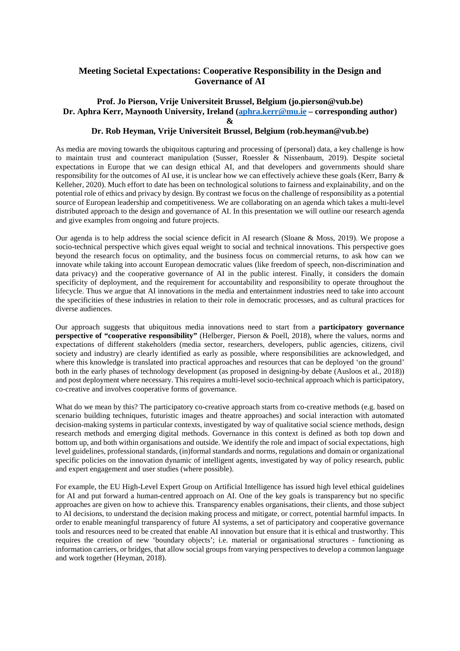## **Meeting Societal Expectations: Cooperative Responsibility in the Design and Governance of AI**

## **Prof. Jo Pierson, Vrije Universiteit Brussel, Belgium (jo.pierson@vub.be) Dr. Aphra Kerr, Maynooth University, Ireland [\(aphra.kerr@mu.ie](mailto:aphra.kerr@mu.ie) – corresponding author) &**

## **Dr. Rob Heyman, Vrije Universiteit Brussel, Belgium (rob.heyman@vub.be)**

As media are moving towards the ubiquitous capturing and processing of (personal) data, a key challenge is how to maintain trust and counteract manipulation (Susser, Roessler & Nissenbaum, 2019). Despite societal expectations in Europe that we can design ethical AI, and that developers and governments should share responsibility for the outcomes of AI use, it is unclear how we can effectively achieve these goals (Kerr, Barry & Kelleher, 2020). Much effort to date has been on technological solutions to fairness and explainability, and on the potential role of ethics and privacy by design. By contrast we focus on the challenge of responsibility as a potential source of European leadership and competitiveness. We are collaborating on an agenda which takes a multi-level distributed approach to the design and governance of AI. In this presentation we will outline our research agenda and give examples from ongoing and future projects.

Our agenda is to help address the social science deficit in AI research (Sloane & Moss, 2019). We propose a socio-technical perspective which gives equal weight to social and technical innovations. This perspective goes beyond the research focus on optimality, and the business focus on commercial returns, to ask how can we innovate while taking into account European democratic values (like freedom of speech, non-discrimination and data privacy) and the cooperative governance of AI in the public interest. Finally, it considers the domain specificity of deployment, and the requirement for accountability and responsibility to operate throughout the lifecycle. Thus we argue that AI innovations in the media and entertainment industries need to take into account the specificities of these industries in relation to their role in democratic processes, and as cultural practices for diverse audiences.

Our approach suggests that ubiquitous media innovations need to start from a **participatory governance perspective of "cooperative responsibility"** (Helberger, Pierson & Poell, 2018), where the values, norms and expectations of different stakeholders (media sector, researchers, developers, public agencies, citizens, civil society and industry) are clearly identified as early as possible, where responsibilities are acknowledged, and where this knowledge is translated into practical approaches and resources that can be deployed 'on the ground' both in the early phases of technology development (as proposed in designing-by debate (Ausloos et al., 2018)) and post deployment where necessary. This requires a multi-level socio-technical approach which is participatory, co-creative and involves cooperative forms of governance.

What do we mean by this? The participatory co-creative approach starts from co-creative methods (e.g. based on scenario building techniques, futuristic images and theatre approaches) and social interaction with automated decision-making systems in particular contexts, investigated by way of qualitative social science methods, design research methods and emerging digital methods. Governance in this context is defined as both top down and bottom up, and both within organisations and outside. We identify the role and impact of social expectations, high level guidelines, professional standards, (in)formal standards and norms, regulations and domain or organizational specific policies on the innovation dynamic of intelligent agents, investigated by way of policy research, public and expert engagement and user studies (where possible).

For example, the EU High-Level Expert Group on Artificial Intelligence has issued high level ethical guidelines for AI and put forward a human-centred approach on AI. One of the key goals is transparency but no specific approaches are given on how to achieve this. Transparency enables organisations, their clients, and those subject to AI decisions, to understand the decision making process and mitigate, or correct, potential harmful impacts. In order to enable meaningful transparency of future AI systems, a set of participatory and cooperative governance tools and resources need to be created that enable AI innovation but ensure that it is ethical and trustworthy. This requires the creation of new 'boundary objects'; i.e. material or organisational structures - functioning as information carriers, or bridges, that allow social groups from varying perspectives to develop a common language and work together (Heyman, 2018).